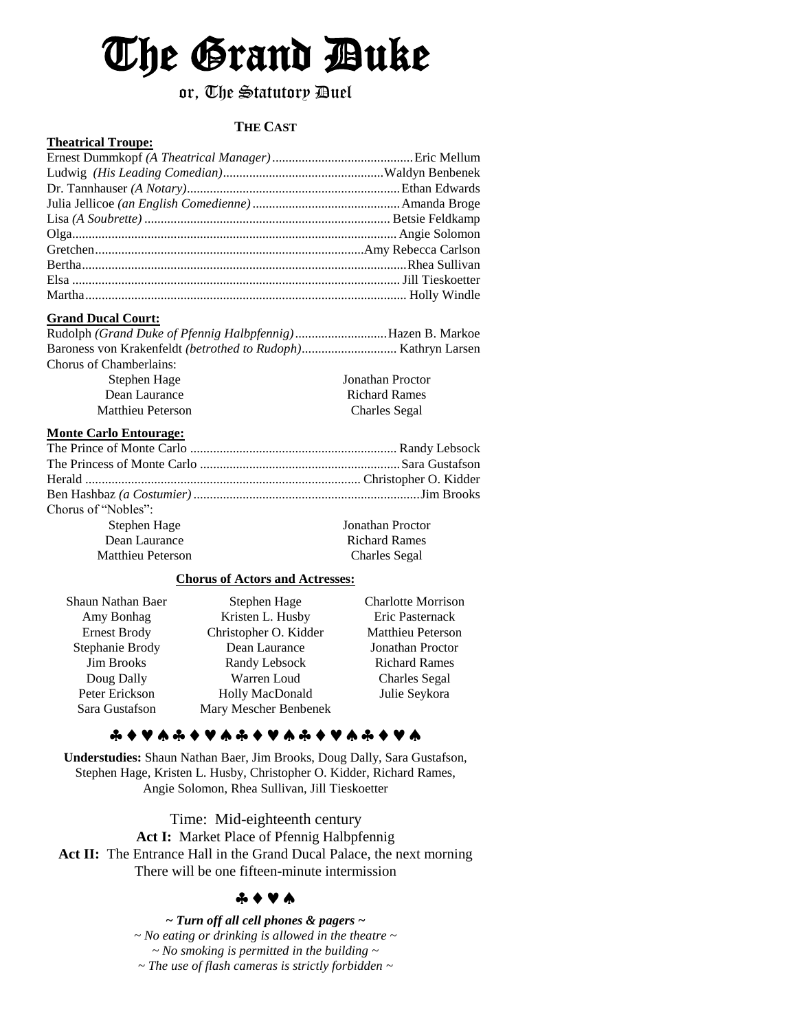# The Grand Duke

# or, The Statutory Duel

# **THE CAST**

#### **Theatrical Troupe:**

### **Grand Ducal Court:**

| Rudolph (Grand Duke of Pfennig Halbpfennig)Hazen B. Markoe |                      |
|------------------------------------------------------------|----------------------|
|                                                            |                      |
| Chorus of Chamberlains:                                    |                      |
| Stephen Hage                                               | Jonathan Proctor     |
| Dean Laurance                                              | <b>Richard Rames</b> |
| Matthieu Peterson                                          | <b>Charles Segal</b> |
|                                                            |                      |

### **Monte Carlo Entourage:**

| Chorus of "Nobles":                              |  |
|--------------------------------------------------|--|
| <b>Jonathan Proctor</b><br>Stephen Hage          |  |
| Dean Laurance<br><b>Richard Rames</b>            |  |
| <b>Matthieu Peterson</b><br><b>Charles</b> Segal |  |

## **Chorus of Actors and Actresses:**

| Shaun Nathan Baer   | Stephen Hage          | <b>Charlotte Morrison</b> |
|---------------------|-----------------------|---------------------------|
| Amy Bonhag          | Kristen L. Husby      | Eric Pasternack           |
| <b>Ernest Brody</b> | Christopher O. Kidder | <b>Matthieu Peterson</b>  |
| Stephanie Brody     | Dean Laurance         | <b>Jonathan Proctor</b>   |
| <b>Jim Brooks</b>   | Randy Lebsock         | <b>Richard Rames</b>      |
| Doug Dally          | Warren Loud           | <b>Charles Segal</b>      |
| Peter Erickson      | Holly MacDonald       | Julie Seykora             |
| Sara Gustafson      | Mary Mescher Benbenek |                           |

# 

**Understudies:** Shaun Nathan Baer, Jim Brooks, Doug Dally, Sara Gustafson, Stephen Hage, Kristen L. Husby, Christopher O. Kidder, Richard Rames, Angie Solomon, Rhea Sullivan, Jill Tieskoetter

Time: Mid-eighteenth century

Act I: Market Place of Pfennig Halbpfennig Act II: The Entrance Hall in the Grand Ducal Palace, the next morning There will be one fifteen-minute intermission

# $A + V A$

*~ Turn off all cell phones & pagers ~ ~ No eating or drinking is allowed in the theatre ~ ~ No smoking is permitted in the building ~ ~ The use of flash cameras is strictly forbidden ~*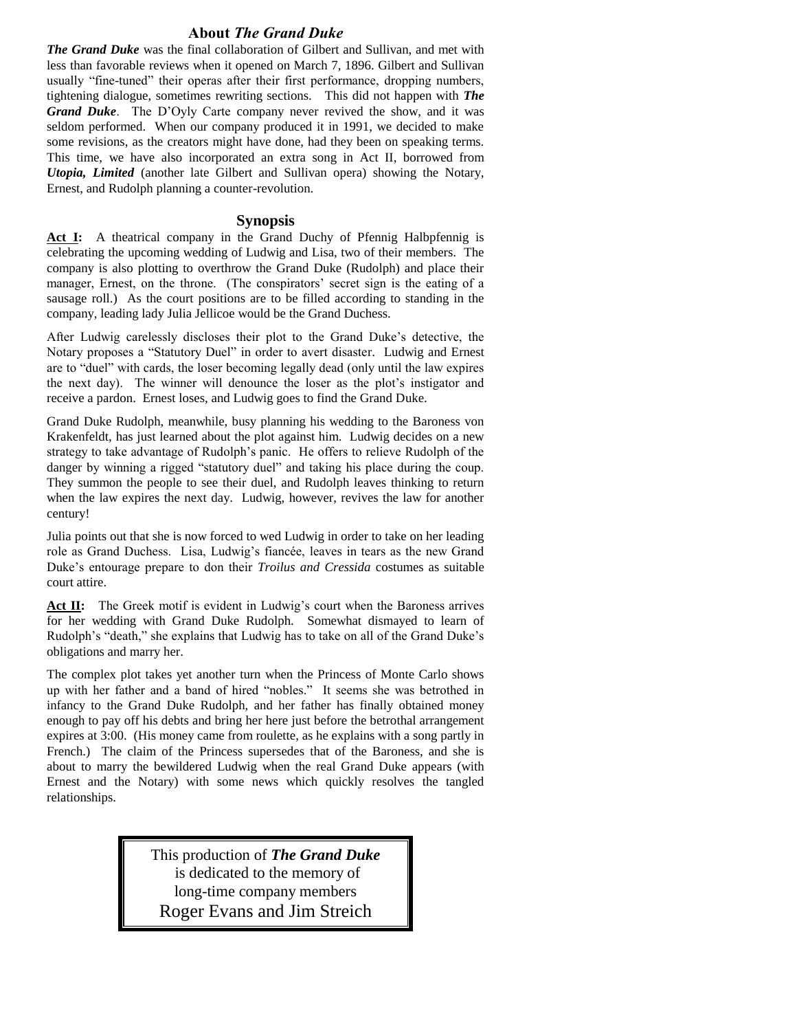### **About** *The Grand Duke*

*The Grand Duke* was the final collaboration of Gilbert and Sullivan, and met with less than favorable reviews when it opened on March 7, 1896. Gilbert and Sullivan usually "fine-tuned" their operas after their first performance, dropping numbers, tightening dialogue, sometimes rewriting sections. This did not happen with *The Grand Duke*. The D'Oyly Carte company never revived the show, and it was seldom performed. When our company produced it in 1991, we decided to make some revisions, as the creators might have done, had they been on speaking terms. This time, we have also incorporated an extra song in Act II, borrowed from *Utopia, Limited* (another late Gilbert and Sullivan opera) showing the Notary, Ernest, and Rudolph planning a counter-revolution.

#### **Synopsis**

Act I: A theatrical company in the Grand Duchy of Pfennig Halbpfennig is celebrating the upcoming wedding of Ludwig and Lisa, two of their members. The company is also plotting to overthrow the Grand Duke (Rudolph) and place their manager, Ernest, on the throne. (The conspirators' secret sign is the eating of a sausage roll.) As the court positions are to be filled according to standing in the company, leading lady Julia Jellicoe would be the Grand Duchess.

After Ludwig carelessly discloses their plot to the Grand Duke's detective, the Notary proposes a "Statutory Duel" in order to avert disaster. Ludwig and Ernest are to "duel" with cards, the loser becoming legally dead (only until the law expires the next day). The winner will denounce the loser as the plot's instigator and receive a pardon. Ernest loses, and Ludwig goes to find the Grand Duke.

Grand Duke Rudolph, meanwhile, busy planning his wedding to the Baroness von Krakenfeldt, has just learned about the plot against him. Ludwig decides on a new strategy to take advantage of Rudolph's panic. He offers to relieve Rudolph of the danger by winning a rigged "statutory duel" and taking his place during the coup. They summon the people to see their duel, and Rudolph leaves thinking to return when the law expires the next day. Ludwig, however, revives the law for another century!

Julia points out that she is now forced to wed Ludwig in order to take on her leading role as Grand Duchess. Lisa, Ludwig's fiancée, leaves in tears as the new Grand Duke's entourage prepare to don their *Troilus and Cressida* costumes as suitable court attire.

Act II: The Greek motif is evident in Ludwig's court when the Baroness arrives for her wedding with Grand Duke Rudolph. Somewhat dismayed to learn of Rudolph's "death," she explains that Ludwig has to take on all of the Grand Duke's obligations and marry her.

The complex plot takes yet another turn when the Princess of Monte Carlo shows up with her father and a band of hired "nobles." It seems she was betrothed in infancy to the Grand Duke Rudolph, and her father has finally obtained money enough to pay off his debts and bring her here just before the betrothal arrangement expires at 3:00. (His money came from roulette, as he explains with a song partly in French.) The claim of the Princess supersedes that of the Baroness, and she is about to marry the bewildered Ludwig when the real Grand Duke appears (with Ernest and the Notary) with some news which quickly resolves the tangled relationships.

> This production of *The Grand Duke* is dedicated to the memory of long-time company members Roger Evans and Jim Streich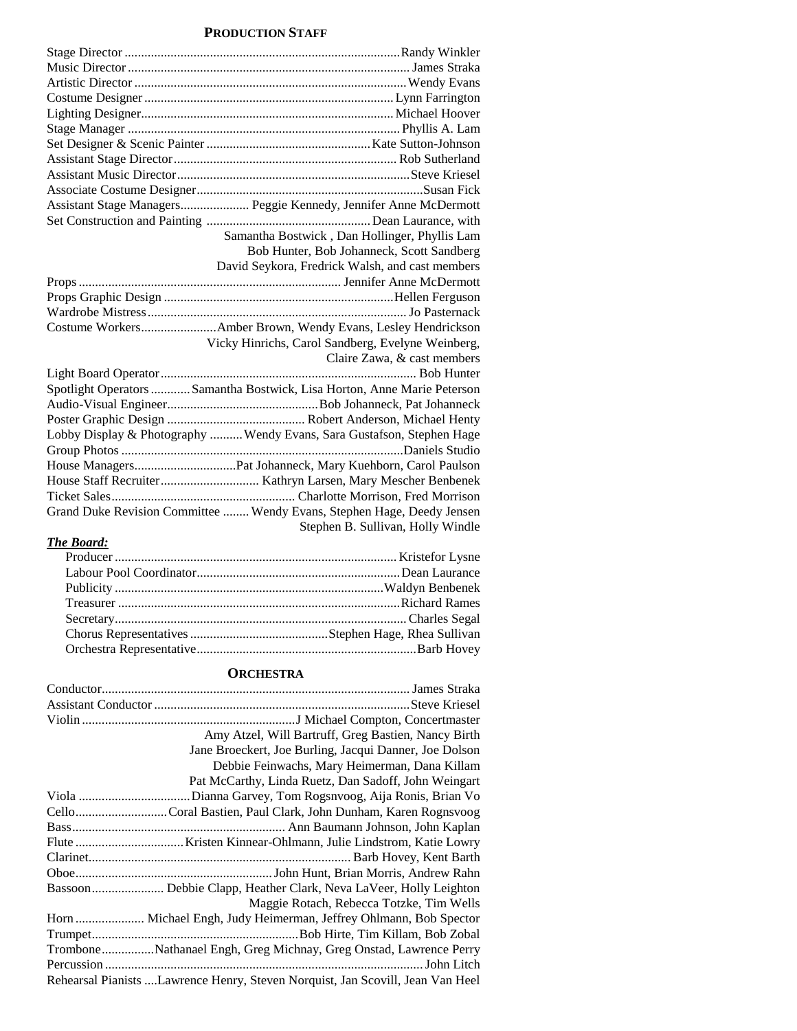#### **PRODUCTION STAFF**

| Assistant Stage Managers Peggie Kennedy, Jennifer Anne McDermott         |
|--------------------------------------------------------------------------|
|                                                                          |
| Samantha Bostwick, Dan Hollinger, Phyllis Lam                            |
| Bob Hunter, Bob Johanneck, Scott Sandberg                                |
| David Seykora, Fredrick Walsh, and cast members                          |
|                                                                          |
|                                                                          |
|                                                                          |
|                                                                          |
| Vicky Hinrichs, Carol Sandberg, Evelyne Weinberg,                        |
| Claire Zawa, & cast members                                              |
|                                                                          |
| Spotlight Operators  Samantha Bostwick, Lisa Horton, Anne Marie Peterson |
|                                                                          |
|                                                                          |
| Lobby Display & Photography  Wendy Evans, Sara Gustafson, Stephen Hage   |
|                                                                          |
|                                                                          |
|                                                                          |
|                                                                          |
| Grand Duke Revision Committee  Wendy Evans, Stephen Hage, Deedy Jensen   |
| Stephen B. Sullivan, Holly Windle                                        |

# *The Board:*

### **ORCHESTRA**

| Amy Atzel, Will Bartruff, Greg Bastien, Nancy Birth                             |
|---------------------------------------------------------------------------------|
| Jane Broeckert, Joe Burling, Jacqui Danner, Joe Dolson                          |
| Debbie Feinwachs, Mary Heimerman, Dana Killam                                   |
| Pat McCarthy, Linda Ruetz, Dan Sadoff, John Weingart                            |
|                                                                                 |
| CelloCoral Bastien, Paul Clark, John Dunham, Karen Rognsvoog                    |
|                                                                                 |
|                                                                                 |
|                                                                                 |
|                                                                                 |
| Bassoon Debbie Clapp, Heather Clark, Neva LaVeer, Holly Leighton                |
| Maggie Rotach, Rebecca Totzke, Tim Wells                                        |
| Horn  Michael Engh, Judy Heimerman, Jeffrey Ohlmann, Bob Spector                |
|                                                                                 |
| TromboneNathanael Engh, Greg Michnay, Greg Onstad, Lawrence Perry               |
|                                                                                 |
| Rehearsal Pianists  Lawrence Henry, Steven Norquist, Jan Scovill, Jean Van Heel |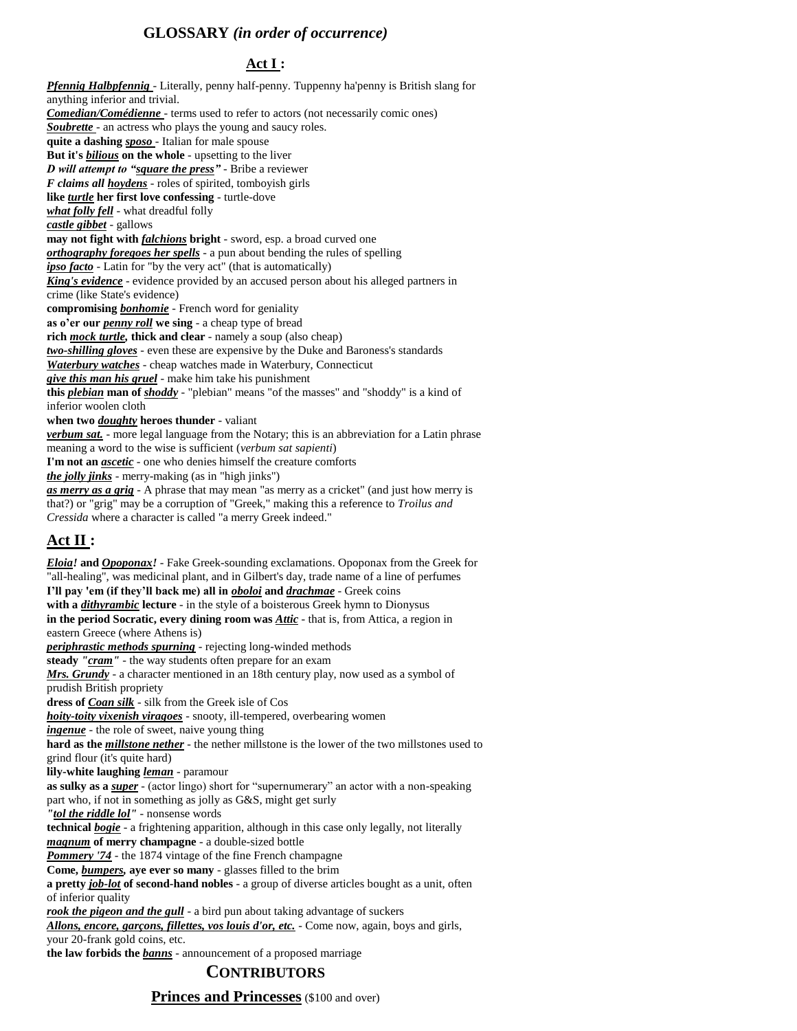# **GLOSSARY** *(in order of occurrence)*

# **Act I :**

*Pfennig Halbpfennig* - Literally, penny half-penny. Tuppenny ha'penny is British slang for anything inferior and trivial. *Comedian/Comédienne* - terms used to refer to actors (not necessarily comic ones) *Soubrette* - an actress who plays the young and saucy roles. **quite a dashing** *sposo* - Italian for male spouse **But it's** *bilious* **on the whole** - upsetting to the liver *D will attempt to "square the press"* - Bribe a reviewer *F claims all hoydens* - roles of spirited, tomboyish girls **like** *turtle* **her first love confessing** - turtle-dove *what folly fell* - what dreadful folly *castle gibbet* - gallows **may not fight with** *falchions* **bright** - sword, esp. a broad curved one *orthography foregoes her spells* - a pun about bending the rules of spelling *ipso facto* - Latin for "by the very act" (that is automatically) **King's evidence** - evidence provided by an accused person about his alleged partners in crime (like State's evidence) **compromising** *bonhomie* - French word for geniality **as o'er our** *penny roll* **we sing** - a cheap type of bread **rich** *mock turtle,* **thick and clear** - namely a soup (also cheap) *two-shilling gloves* - even these are expensive by the Duke and Baroness's standards *Waterbury watches* - cheap watches made in Waterbury, Connecticut *give this man his gruel* - make him take his punishment **this** *plebian* **man of** *shoddy* - "plebian" means "of the masses" and "shoddy" is a kind of inferior woolen cloth **when two** *doughty* **heroes thunder** - valiant *verbum sat.* - more legal language from the Notary; this is an abbreviation for a Latin phrase meaning a word to the wise is sufficient (*verbum sat sapienti*) **I'm not an** *ascetic* - one who denies himself the creature comforts *the jolly jinks* - merry-making (as in "high jinks") *as merry as a grig* - A phrase that may mean "as merry as a cricket" (and just how merry is that?) or "grig" may be a corruption of "Greek," making this a reference to *Troilus and Cressida* where a character is called "a merry Greek indeed." **Act II :**  *Eloia!* **and** *Opoponax!* - Fake Greek-sounding exclamations. Opoponax from the Greek for "all-healing", was medicinal plant, and in Gilbert's day, trade name of a line of perfumes **I'll pay 'em (if they'll back me) all in** *oboloi* **and** *drachmae* - Greek coins **with a** *dithyrambic* **lecture** - in the style of a boisterous Greek hymn to Dionysus **in the period Socratic, every dining room was** *Attic* - that is, from Attica, a region in eastern Greece (where Athens is) *periphrastic methods spurning* - rejecting long-winded methods **steady** *"cram"* - the way students often prepare for an exam *Mrs. Grundy* - a character mentioned in an 18th century play, now used as a symbol of prudish British propriety **dress of** *Coan silk* - silk from the Greek isle of Cos *hoity-toity vixenish viragoes* - snooty, ill-tempered, overbearing women *ingenue* - the role of sweet, naive young thing **hard as the** *millstone nether* - the nether millstone is the lower of the two millstones used to grind flour (it's quite hard) **lily-white laughing** *leman* - paramour **as sulky as a** *super* - (actor lingo) short for "supernumerary" an actor with a non-speaking part who, if not in something as jolly as G&S, might get surly *"tol the riddle lol"* - nonsense words **technical** *bogie* - a frightening apparition, although in this case only legally, not literally *magnum* **of merry champagne** - a double-sized bottle *Pommery '74* - the 1874 vintage of the fine French champagne **Come,** *bumpers,* **aye ever so many** - glasses filled to the brim **a pretty** *job-lot* **of second-hand nobles** - a group of diverse articles bought as a unit, often of inferior quality *rook the pigeon and the gull* - a bird pun about taking advantage of suckers

*Allons, encore, garçons, fillettes, vos louis d'or, etc.* - Come now, again, boys and girls, your 20-frank gold coins, etc.

**the law forbids the** *banns* - announcement of a proposed marriage

# **CONTRIBUTORS**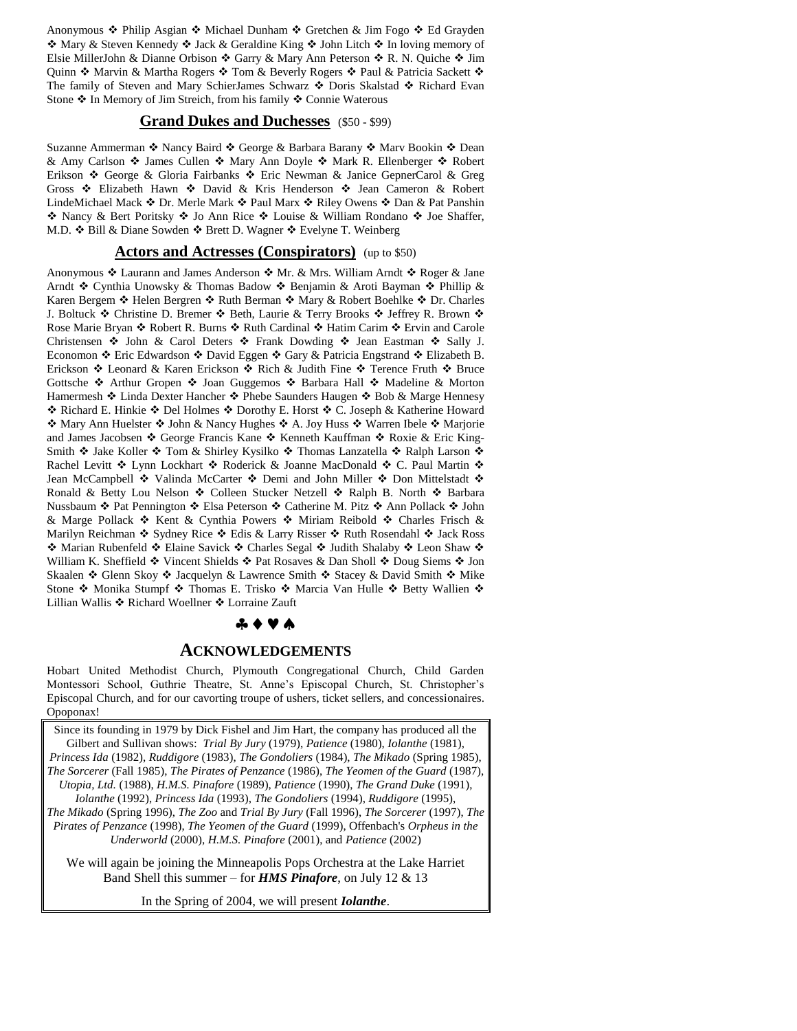Anonymous  $\triangle$  Philip Asgian  $\triangle$  Michael Dunham  $\triangle$  Gretchen & Jim Fogo  $\triangle$  Ed Grayden  $\triangle$  Mary & Steven Kennedy  $\triangle$  Jack & Geraldine King  $\triangle$  John Litch  $\triangle$  In loving memory of Elsie MillerJohn & Dianne Orbison  $\div$  Garry & Mary Ann Peterson  $\div$  R. N. Quiche  $\div$  Jim Quinn  $\cdot$  Marvin & Martha Rogers  $\cdot \cdot$  Tom & Beverly Rogers  $\cdot \cdot$  Paul & Patricia Sackett  $\cdot \cdot$ The family of Steven and Mary SchierJames Schwarz ❖ Doris Skalstad ❖ Richard Evan Stone  $\triangle$  In Memory of Jim Streich, from his family  $\triangle$  Connie Waterous

#### **Grand Dukes and Duchesses** (\$50 - \$99)

Suzanne Ammerman ❖ Nancy Baird ❖ George & Barbara Barany ❖ Marv Bookin ❖ Dean & Amy Carlson  $\div$  James Cullen  $\div$  Mary Ann Doyle  $\div$  Mark R. Ellenberger  $\div$  Robert Erikson ❖ George & Gloria Fairbanks ❖ Eric Newman & Janice GepnerCarol & Greg Gross  $\div$  Elizabeth Hawn  $\div$  David & Kris Henderson  $\div$  Jean Cameron & Robert LindeMichael Mack ❖ Dr. Merle Mark ❖ Paul Marx ❖ Riley Owens ❖ Dan & Pat Panshin ◆ Nancy & Bert Poritsky ◆ Jo Ann Rice ◆ Louise & William Rondano ◆ Joe Shaffer, M.D. ❖ Bill & Diane Sowden ❖ Brett D. Wagner ❖ Evelyne T. Weinberg

#### **Actors and Actresses (Conspirators)** (up to \$50)

Anonymous ❖ Laurann and James Anderson ❖ Mr. & Mrs. William Arndt ❖ Roger & Jane Arndt  $\triangle$  Cynthia Unowsky & Thomas Badow  $\triangle$  Benjamin & Aroti Bayman  $\triangle$  Phillip & Karen Bergem  $\triangleleft$  Helen Bergren  $\triangleleft$  Ruth Berman  $\triangleleft$  Mary & Robert Boehlke  $\triangleleft$  Dr. Charles J. Boltuck  $\triangle$  Christine D. Bremer  $\triangle$  Beth, Laurie & Terry Brooks  $\triangle$  Jeffrey R. Brown  $\triangle$ Rose Marie Bryan  $\cdot$  Robert R. Burns  $\cdot$  Ruth Cardinal  $\cdot$  Hatim Carim  $\cdot$  Ervin and Carole Christensen  $\div$  John & Carol Deters  $\div$  Frank Dowding  $\div$  Jean Eastman  $\div$  Sally J. Economon  $\div$  Eric Edwardson  $\div$  David Eggen  $\div$  Gary & Patricia Engstrand  $\div$  Elizabeth B. Erickson ❖ Leonard & Karen Erickson ❖ Rich & Judith Fine ❖ Terence Fruth ❖ Bruce Gottsche  $\div$  Arthur Gropen  $\div$  Joan Guggemos  $\div$  Barbara Hall  $\div$  Madeline & Morton Hamermesh ◆ Linda Dexter Hancher ◆ Phebe Saunders Haugen ◆ Bob & Marge Hennesy \* Richard E. Hinkie \* Del Holmes \* Dorothy E. Horst \* C. Joseph & Katherine Howard ◆ Mary Ann Huelster ◆ John & Nancy Hughes ◆ A. Joy Huss ◆ Warren Ibele ◆ Marjorie and James Jacobsen  $\triangleleft$  George Francis Kane  $\triangleleft$  Kenneth Kauffman  $\triangleleft$  Roxie & Eric King-Smith  $\triangle$  Jake Koller  $\triangle$  Tom & Shirley Kysilko  $\triangle$  Thomas Lanzatella  $\triangle$  Ralph Larson  $\triangle$ Rachel Levitt �� Lynn Lockhart �� Roderick & Joanne MacDonald �� C. Paul Martin �� Jean McCampbell ❖ Valinda McCarter ❖ Demi and John Miller ❖ Don Mittelstadt ❖ Ronald & Betty Lou Nelson  $\div$  Colleen Stucker Netzell  $\div$  Ralph B. North  $\div$  Barbara Nussbaum ❖ Pat Pennington ❖ Elsa Peterson ❖ Catherine M. Pitz ❖ Ann Pollack ❖ John & Marge Pollack  $\triangle$  Kent & Cynthia Powers  $\triangle$  Miriam Reibold  $\triangle$  Charles Frisch & Marilyn Reichman  $\div$  Sydney Rice  $\div$  Edis & Larry Risser  $\div$  Ruth Rosendahl  $\div$  Jack Ross \* Marian Rubenfeld \* Elaine Savick \* Charles Segal \* Judith Shalaby \* Leon Shaw \* William K. Sheffield  $\cdot$  Vincent Shields  $\cdot$  Pat Rosaves & Dan Sholl  $\cdot$  Doug Siems  $\cdot$  Jon Skaalen  $\div$  Glenn Skoy  $\div$  Jacquelyn & Lawrence Smith  $\div$  Stacey & David Smith  $\div$  Mike Stone ❖ Monika Stumpf ❖ Thomas E. Trisko ❖ Marcia Van Hulle ❖ Betty Wallien ❖ Lillian Wallis ❖ Richard Woellner ❖ Lorraine Zauft

#### \* ◆ A ♥

#### **ACKNOWLEDGEMENTS**

Hobart United Methodist Church, Plymouth Congregational Church, Child Garden Montessori School, Guthrie Theatre, St. Anne's Episcopal Church, St. Christopher's Episcopal Church, and for our cavorting troupe of ushers, ticket sellers, and concessionaires. Opoponax!

Since its founding in 1979 by Dick Fishel and Jim Hart, the company has produced all the Gilbert and Sullivan shows: *Trial By Jury* (1979), *Patience* (1980), *Iolanthe* (1981), *Princess Ida* (1982), *Ruddigore* (1983), *The Gondoliers* (1984), *The Mikado* (Spring 1985), *The Sorcerer* (Fall 1985), *The Pirates of Penzance* (1986), *The Yeomen of the Guard* (1987), *Utopia, Ltd.* (1988), *H.M.S. Pinafore* (1989), *Patience* (1990), *The Grand Duke* (1991),

*Iolanthe* (1992), *Princess Ida* (1993), *The Gondoliers* (1994), *Ruddigore* (1995), *The Mikado* (Spring 1996), *The Zoo* and *Trial By Jury* (Fall 1996), *The Sorcerer* (1997), *The Pirates of Penzance* (1998), *The Yeomen of the Guard* (1999), Offenbach's *Orpheus in the Underworld* (2000), *H.M.S. Pinafore* (2001), and *Patience* (2002)

We will again be joining the Minneapolis Pops Orchestra at the Lake Harriet Band Shell this summer – for *HMS Pinafore*, on July 12 & 13

In the Spring of 2004, we will present *Iolanthe*.